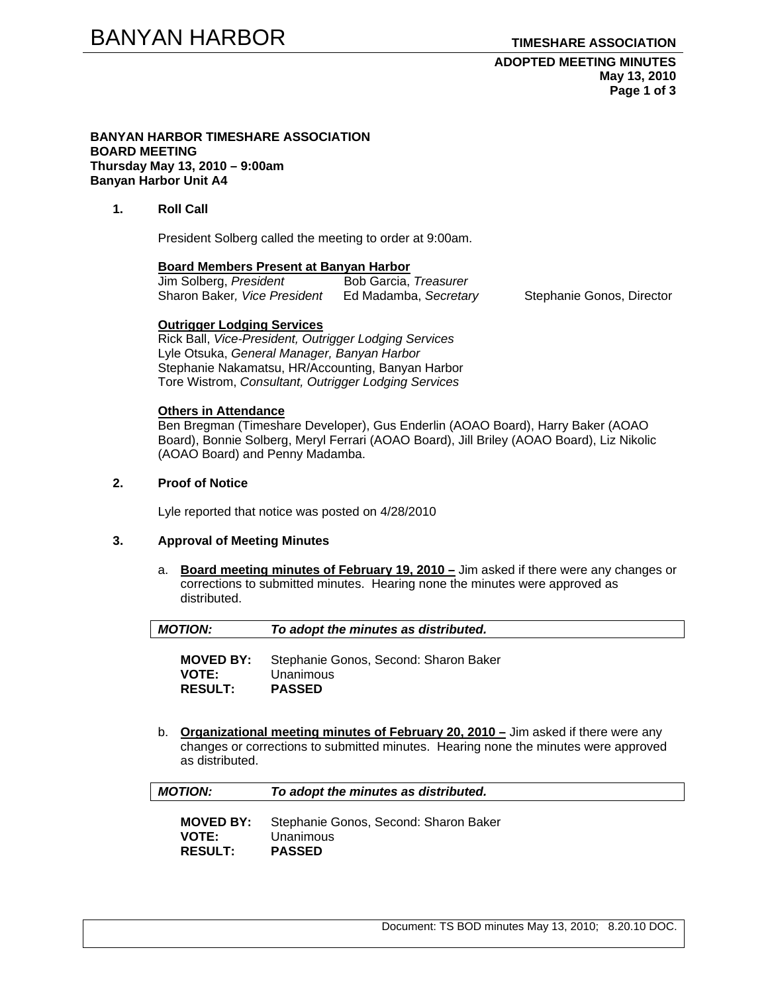#### **BANYAN HARBOR TIMESHARE ASSOCIATION BOARD MEETING Thursday May 13, 2010 – 9:00am Banyan Harbor Unit A4**

## **1. Roll Call**

President Solberg called the meeting to order at 9:00am.

#### **Board Members Present at Banyan Harbor**

| Jim Solberg, President       | Bob Garcia, Treasurer |
|------------------------------|-----------------------|
| Sharon Baker, Vice President | Ed Madamba, Secretary |

Stephanie Gonos, Director

### **Outrigger Lodging Services**

Rick Ball, *Vice-President, Outrigger Lodging Services* Lyle Otsuka, *General Manager, Banyan Harbor*  Stephanie Nakamatsu, HR/Accounting, Banyan Harbor Tore Wistrom, *Consultant, Outrigger Lodging Services* 

### **Others in Attendance**

Ben Bregman (Timeshare Developer), Gus Enderlin (AOAO Board), Harry Baker (AOAO Board), Bonnie Solberg, Meryl Ferrari (AOAO Board), Jill Briley (AOAO Board), Liz Nikolic (AOAO Board) and Penny Madamba.

# **2. Proof of Notice**

Lyle reported that notice was posted on 4/28/2010

### **3. Approval of Meeting Minutes**

a. **Board meeting minutes of February 19, 2010 –** Jim asked if there were any changes or corrections to submitted minutes. Hearing none the minutes were approved as distributed.

| <b>MOTION:</b>   | To adopt the minutes as distributed.  |
|------------------|---------------------------------------|
| <b>MOVED BY:</b> | Stephanie Gonos, Second: Sharon Baker |
| $V\cap TE$       | I Inanimous                           |

**VOTE:** Unanimous **RESULT: PASSED** 

**RESULT: PASSED**

b. **Organizational meeting minutes of February 20, 2010 –** Jim asked if there were any changes or corrections to submitted minutes. Hearing none the minutes were approved as distributed.

Document: TS BOD minutes May 13, 2010; 8.20.10 DOC.

| <b>MOTION:</b>   | To adopt the minutes as distributed.  |
|------------------|---------------------------------------|
| <b>MOVED BY:</b> | Stephanie Gonos, Second: Sharon Baker |
| <b>VOTE:</b>     | Unanimous                             |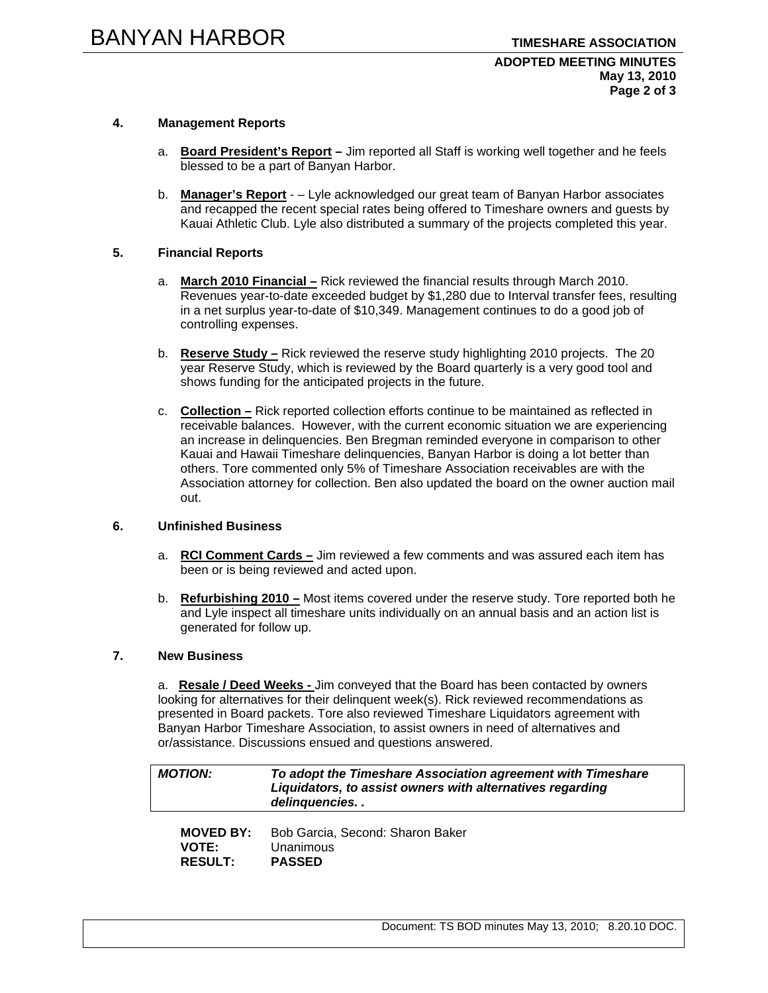# **4. Management Reports**

- a. **Board President's Report** Jim reported all Staff is working well together and he feels blessed to be a part of Banyan Harbor.
- b. **Manager's Report** – Lyle acknowledged our great team of Banyan Harbor associates and recapped the recent special rates being offered to Timeshare owners and guests by Kauai Athletic Club. Lyle also distributed a summary of the projects completed this year.

# **5. Financial Reports**

- a. **March 2010 Financial –** Rick reviewed the financial results through March 2010. Revenues year-to-date exceeded budget by \$1,280 due to Interval transfer fees, resulting in a net surplus year-to-date of \$10,349. Management continues to do a good job of controlling expenses.
- b. **Reserve Study –** Rick reviewed the reserve study highlighting 2010 projects. The 20 year Reserve Study, which is reviewed by the Board quarterly is a very good tool and shows funding for the anticipated projects in the future.
- c. **Collection –** Rick reported collection efforts continue to be maintained as reflected in receivable balances. However, with the current economic situation we are experiencing an increase in delinquencies. Ben Bregman reminded everyone in comparison to other Kauai and Hawaii Timeshare delinquencies, Banyan Harbor is doing a lot better than others. Tore commented only 5% of Timeshare Association receivables are with the Association attorney for collection. Ben also updated the board on the owner auction mail out.

### **6. Unfinished Business**

- a. **RCI Comment Cards –** Jim reviewed a few comments and was assured each item has been or is being reviewed and acted upon.
- b. **Refurbishing 2010 –** Most items covered under the reserve study. Tore reported both he and Lyle inspect all timeshare units individually on an annual basis and an action list is generated for follow up.

## **7. New Business**

a. **Resale / Deed Weeks -** Jim conveyed that the Board has been contacted by owners looking for alternatives for their delinquent week(s). Rick reviewed recommendations as presented in Board packets. Tore also reviewed Timeshare Liquidators agreement with Banyan Harbor Timeshare Association, to assist owners in need of alternatives and or/assistance. Discussions ensued and questions answered.

| <b>MOTION:</b>   | To adopt the Timeshare Association agreement with Timeshare<br>Liquidators, to assist owners with alternatives regarding<br>delinquencies |
|------------------|-------------------------------------------------------------------------------------------------------------------------------------------|
| <b>MOVED BY:</b> | Bob Garcia, Second: Sharon Baker                                                                                                          |
| <b>VOTE:</b>     | Unanimous                                                                                                                                 |
| <b>RESULT:</b>   | <b>PASSED</b>                                                                                                                             |